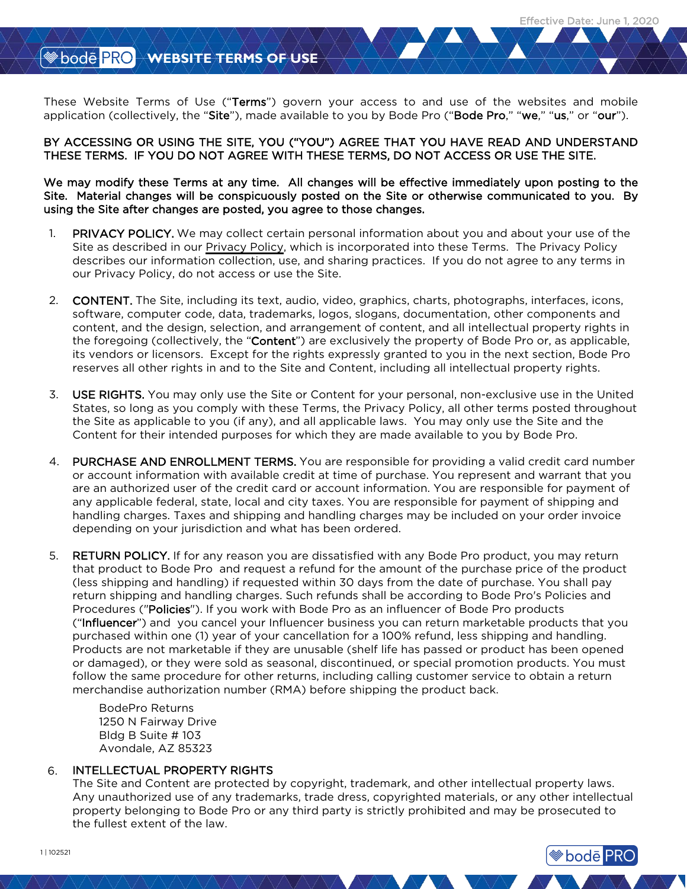**bode** PRO

### WEBSITE TERMS OF USE

These Website Terms of Use ("Terms") govern your access to and use of the websites and mobile application (collectively, the "Site"), made available to you by Bode Pro ("Bode Pro," "we," "us," or "our").

BY ACCESSING OR USING THE SITE, YOU ("YOU") AGREE THAT YOU HAVE READ AND UNDERSTAND THESE TERMS. IF YOU DO NOT AGREE WITH THESE TERMS, DO NOT ACCESS OR USE THE SITE.

We may modify these Terms at any time. All changes will be effective immediately upon posting to the Site. Material changes will be conspicuously posted on the Site or otherwise communicated to you. By using the Site after changes are posted, you agree to those changes.

- PRIVACY POLICY. We may collect certain personal information about you and about your use of the Site as described in our [Privacy Policy,](https://www.bodepro.com/static/front/pdf/Bode_Pro_Privacy_Policy_102521-en.pdf) which is incorporated into these Terms. The Privacy Policy describes our information collection, use, and sharing practices. If you do not agree to any terms in our Privacy Policy, do not access or use the Site. 1.
- 2. CONTENT. The Site, including its text, audio, video, graphics, charts, photographs, interfaces, icons, software, computer code, data, trademarks, logos, slogans, documentation, other components and content, and the design, selection, and arrangement of content, and all intellectual property rights in the foregoing (collectively, the "Content") are exclusively the property of Bode Pro or, as applicable, its vendors or licensors. Except for the rights expressly granted to you in the next section, Bode Pro reserves all other rights in and to the Site and Content, including all intellectual property rights.
- 3. USE RIGHTS. You may only use the Site or Content for your personal, non-exclusive use in the United States, so long as you comply with these Terms, the Privacy Policy, all other terms posted throughout the Site as applicable to you (if any), and all applicable laws. You may only use the Site and the Content for their intended purposes for which they are made available to you by Bode Pro.
- 4. PURCHASE AND ENROLLMENT TERMS. You are responsible for providing a valid credit card number or account information with available credit at time of purchase. You represent and warrant that you are an authorized user of the credit card or account information. You are responsible for payment of any applicable federal, state, local and city taxes. You are responsible for payment of shipping and handling charges. Taxes and shipping and handling charges may be included on your order invoice depending on your jurisdiction and what has been ordered.
- RETURN POLICY. If for any reason you are dissatisfied with any Bode Pro product, you may return that product to Bode Pro and request a refund for the amount of the purchase price of the product (less shipping and handling) if requested within 30 days from the date of purchase. You shall pay return shipping and handling charges. Such refunds shall be according to Bode Pro's Policies and Procedures ("Policies"). If you work with Bode Pro as an influencer of Bode Pro products ("Influencer") and you cancel your Influencer business you can return marketable products that you purchased within one (1) year of your cancellation for a 100% refund, less shipping and handling. Products are not marketable if they are unusable (shelf life has passed or product has been opened or damaged), or they were sold as seasonal, discontinued, or special promotion products. You must follow the same procedure for other returns, including calling customer service to obtain a return merchandise authorization number (RMA) before shipping the product back. 5.

 BodePro Returns 1250 N Fairway Drive Bldg B Suite # 103 Avondale, AZ 85323

#### INTELLECTUAL PROPERTY RIGHTS 6.

The Site and Content are protected by copyright, trademark, and other intellectual property laws. Any unauthorized use of any trademarks, trade dress, copyrighted materials, or any other intellectual property belonging to Bode Pro or any third party is strictly prohibited and may be prosecuted to the fullest extent of the law.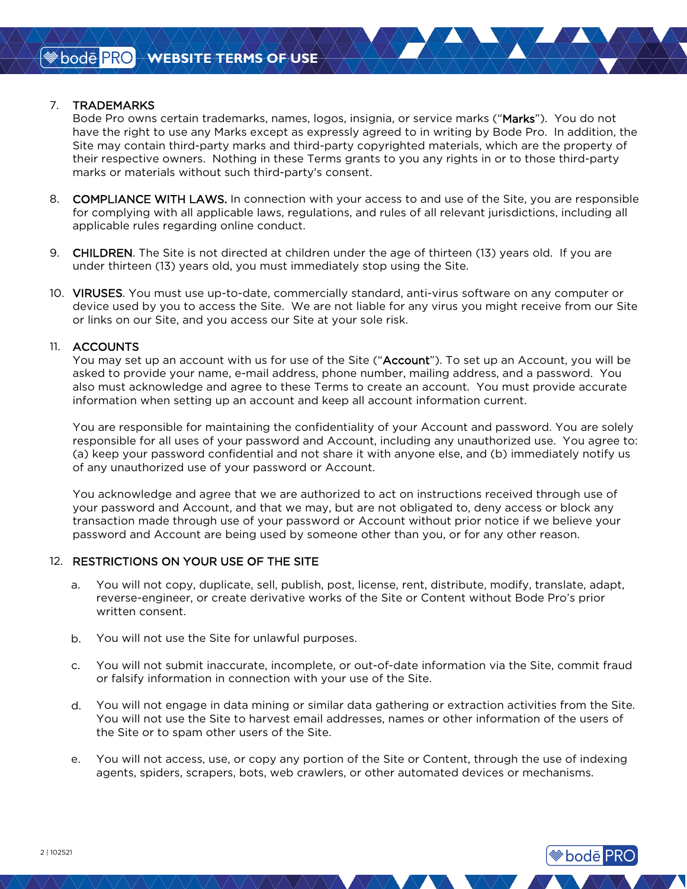### 7. TRADEMARKS

Bode Pro owns certain trademarks, names, logos, insignia, or service marks ("Marks"). You do not have the right to use any Marks except as expressly agreed to in writing by Bode Pro. In addition, the Site may contain third-party marks and third-party copyrighted materials, which are the property of their respective owners. Nothing in these Terms grants to you any rights in or to those third-party marks or materials without such third-party's consent.

- 8. COMPLIANCE WITH LAWS. In connection with your access to and use of the Site, you are responsible for complying with all applicable laws, regulations, and rules of all relevant jurisdictions, including all applicable rules regarding online conduct.
- 9. CHILDREN. The Site is not directed at children under the age of thirteen (13) years old. If you are under thirteen (13) years old, you must immediately stop using the Site.
- 10. VIRUSES. You must use up-to-date, commercially standard, anti-virus software on any computer or device used by you to access the Site. We are not liable for any virus you might receive from our Site or links on our Site, and you access our Site at your sole risk.

#### 11. ACCOUNTS

You may set up an account with us for use of the Site ("Account"). To set up an Account, you will be asked to provide your name, e-mail address, phone number, mailing address, and a password. You also must acknowledge and agree to these Terms to create an account. You must provide accurate information when setting up an account and keep all account information current.

You are responsible for maintaining the confidentiality of your Account and password. You are solely responsible for all uses of your password and Account, including any unauthorized use. You agree to: (a) keep your password confidential and not share it with anyone else, and (b) immediately notify us of any unauthorized use of your password or Account.

You acknowledge and agree that we are authorized to act on instructions received through use of your password and Account, and that we may, but are not obligated to, deny access or block any transaction made through use of your password or Account without prior notice if we believe your password and Account are being used by someone other than you, or for any other reason.

### 12. RESTRICTIONS ON YOUR USE OF THE SITE

- a. You will not copy, duplicate, sell, publish, post, license, rent, distribute, modify, translate, adapt, reverse-engineer, or create derivative works of the Site or Content without Bode Pro's prior written consent.
- b. You will not use the Site for unlawful purposes.
- c. You will not submit inaccurate, incomplete, or out-of-date information via the Site, commit fraud or falsify information in connection with your use of the Site.
- d. You will not engage in data mining or similar data gathering or extraction activities from the Site. You will not use the Site to harvest email addresses, names or other information of the users of the Site or to spam other users of the Site.
- e. You will not access, use, or copy any portion of the Site or Content, through the use of indexing agents, spiders, scrapers, bots, web crawlers, or other automated devices or mechanisms.

**<sup>●</sup>bode PRO**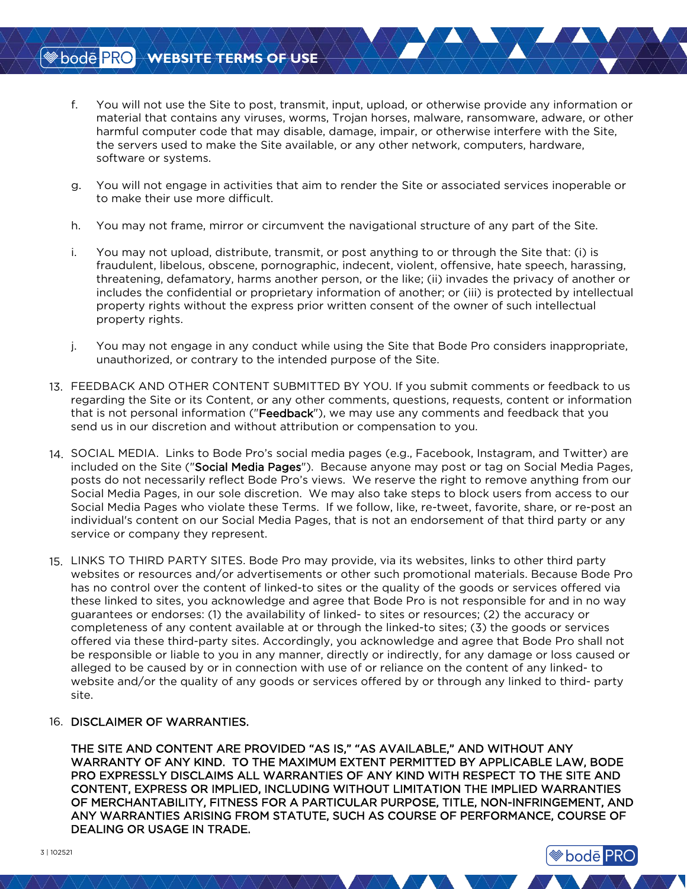# WEBSITE TERMS OF USE

- f. You will not use the Site to post, transmit, input, upload, or otherwise provide any information or material that contains any viruses, worms, Trojan horses, malware, ransomware, adware, or other harmful computer code that may disable, damage, impair, or otherwise interfere with the Site, the servers used to make the Site available, or any other network, computers, hardware, software or systems.
- g. You will not engage in activities that aim to render the Site or associated services inoperable or to make their use more difficult.
- h. You may not frame, mirror or circumvent the navigational structure of any part of the Site.
- i. You may not upload, distribute, transmit, or post anything to or through the Site that: (i) is fraudulent, libelous, obscene, pornographic, indecent, violent, offensive, hate speech, harassing, threatening, defamatory, harms another person, or the like; (ii) invades the privacy of another or includes the confidential or proprietary information of another; or (iii) is protected by intellectual property rights without the express prior written consent of the owner of such intellectual property rights.
- j. You may not engage in any conduct while using the Site that Bode Pro considers inappropriate, unauthorized, or contrary to the intended purpose of the Site.
- 13. FEEDBACK AND OTHER CONTENT SUBMITTED BY YOU. If you submit comments or feedback to us regarding the Site or its Content, or any other comments, questions, requests, content or information that is not personal information ("Feedback"), we may use any comments and feedback that you send us in our discretion and without attribution or compensation to you.
- 14. SOCIAL MEDIA. Links to Bode Pro's social media pages (e.g., Facebook, Instagram, and Twitter) are included on the Site ("Social Media Pages"). Because anyone may post or tag on Social Media Pages, posts do not necessarily reflect Bode Pro's views. We reserve the right to remove anything from our Social Media Pages, in our sole discretion. We may also take steps to block users from access to our Social Media Pages who violate these Terms. If we follow, like, re-tweet, favorite, share, or re-post an individual's content on our Social Media Pages, that is not an endorsement of that third party or any service or company they represent.
- 15. LINKS TO THIRD PARTY SITES. Bode Pro may provide, via its websites, links to other third party websites or resources and/or advertisements or other such promotional materials. Because Bode Pro has no control over the content of linked-to sites or the quality of the goods or services offered via these linked to sites, you acknowledge and agree that Bode Pro is not responsible for and in no way guarantees or endorses: (1) the availability of linked- to sites or resources; (2) the accuracy or completeness of any content available at or through the linked-to sites; (3) the goods or services offered via these third-party sites. Accordingly, you acknowledge and agree that Bode Pro shall not be responsible or liable to you in any manner, directly or indirectly, for any damage or loss caused or alleged to be caused by or in connection with use of or reliance on the content of any linked- to website and/or the quality of any goods or services offered by or through any linked to third- party site.

### 16. DISCLAIMER OF WARRANTIES.

THE SITE AND CONTENT ARE PROVIDED "AS IS," "AS AVAILABLE," AND WITHOUT ANY WARRANTY OF ANY KIND. TO THE MAXIMUM EXTENT PERMITTED BY APPLICABLE LAW, BODE PRO EXPRESSLY DISCLAIMS ALL WARRANTIES OF ANY KIND WITH RESPECT TO THE SITE AND CONTENT, EXPRESS OR IMPLIED, INCLUDING WITHOUT LIMITATION THE IMPLIED WARRANTIES OF MERCHANTABILITY, FITNESS FOR A PARTICULAR PURPOSE, TITLE, NON-INFRINGEMENT, AND ANY WARRANTIES ARISING FROM STATUTE, SUCH AS COURSE OF PERFORMANCE, COURSE OF DEALING OR USAGE IN TRADE.

**bode** PRO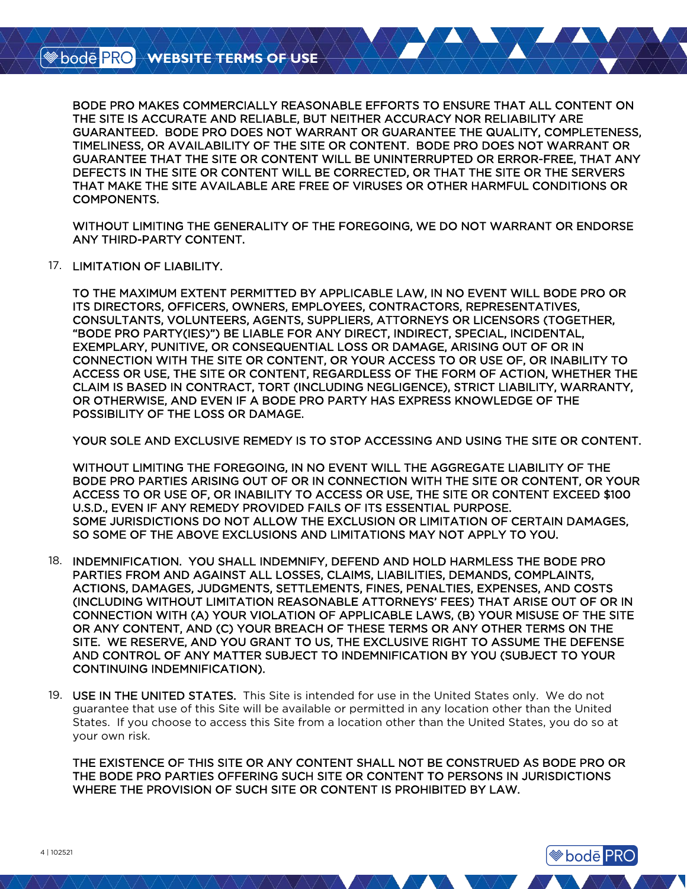BODE PRO MAKES COMMERCIALLY REASONABLE EFFORTS TO ENSURE THAT ALL CONTENT ON THE SITE IS ACCURATE AND RELIABLE, BUT NEITHER ACCURACY NOR RELIABILITY ARE GUARANTEED. BODE PRO DOES NOT WARRANT OR GUARANTEE THE QUALITY, COMPLETENESS, TIMELINESS, OR AVAILABILITY OF THE SITE OR CONTENT. BODE PRO DOES NOT WARRANT OR GUARANTEE THAT THE SITE OR CONTENT WILL BE UNINTERRUPTED OR ERROR-FREE, THAT ANY DEFECTS IN THE SITE OR CONTENT WILL BE CORRECTED, OR THAT THE SITE OR THE SERVERS THAT MAKE THE SITE AVAILABLE ARE FREE OF VIRUSES OR OTHER HARMFUL CONDITIONS OR COMPONENTS.

WITHOUT LIMITING THE GENERALITY OF THE FOREGOING, WE DO NOT WARRANT OR ENDORSE ANY THIRD-PARTY CONTENT.

17. LIMITATION OF LIABILITY.

TO THE MAXIMUM EXTENT PERMITTED BY APPLICABLE LAW, IN NO EVENT WILL BODE PRO OR ITS DIRECTORS, OFFICERS, OWNERS, EMPLOYEES, CONTRACTORS, REPRESENTATIVES, CONSULTANTS, VOLUNTEERS, AGENTS, SUPPLIERS, ATTORNEYS OR LICENSORS (TOGETHER, "BODE PRO PARTY(IES)") BE LIABLE FOR ANY DIRECT, INDIRECT, SPECIAL, INCIDENTAL, EXEMPLARY, PUNITIVE, OR CONSEQUENTIAL LOSS OR DAMAGE, ARISING OUT OF OR IN CONNECTION WITH THE SITE OR CONTENT, OR YOUR ACCESS TO OR USE OF, OR INABILITY TO ACCESS OR USE, THE SITE OR CONTENT, REGARDLESS OF THE FORM OF ACTION, WHETHER THE CLAIM IS BASED IN CONTRACT, TORT (INCLUDING NEGLIGENCE), STRICT LIABILITY, WARRANTY, OR OTHERWISE, AND EVEN IF A BODE PRO PARTY HAS EXPRESS KNOWLEDGE OF THE POSSIBILITY OF THE LOSS OR DAMAGE.

YOUR SOLE AND EXCLUSIVE REMEDY IS TO STOP ACCESSING AND USING THE SITE OR CONTENT.

WITHOUT LIMITING THE FOREGOING, IN NO EVENT WILL THE AGGREGATE LIABILITY OF THE BODE PRO PARTIES ARISING OUT OF OR IN CONNECTION WITH THE SITE OR CONTENT, OR YOUR ACCESS TO OR USE OF, OR INABILITY TO ACCESS OR USE, THE SITE OR CONTENT EXCEED \$100 U.S.D., EVEN IF ANY REMEDY PROVIDED FAILS OF ITS ESSENTIAL PURPOSE. SOME JURISDICTIONS DO NOT ALLOW THE EXCLUSION OR LIMITATION OF CERTAIN DAMAGES, SO SOME OF THE ABOVE EXCLUSIONS AND LIMITATIONS MAY NOT APPLY TO YOU.

- 18. INDEMNIFICATION. YOU SHALL INDEMNIFY, DEFEND AND HOLD HARMLESS THE BODE PRO PARTIES FROM AND AGAINST ALL LOSSES, CLAIMS, LIABILITIES, DEMANDS, COMPLAINTS, ACTIONS, DAMAGES, JUDGMENTS, SETTLEMENTS, FINES, PENALTIES, EXPENSES, AND COSTS (INCLUDING WITHOUT LIMITATION REASONABLE ATTORNEYS' FEES) THAT ARISE OUT OF OR IN CONNECTION WITH (A) YOUR VIOLATION OF APPLICABLE LAWS, (B) YOUR MISUSE OF THE SITE OR ANY CONTENT, AND (C) YOUR BREACH OF THESE TERMS OR ANY OTHER TERMS ON THE SITE. WE RESERVE, AND YOU GRANT TO US, THE EXCLUSIVE RIGHT TO ASSUME THE DEFENSE AND CONTROL OF ANY MATTER SUBJECT TO INDEMNIFICATION BY YOU (SUBJECT TO YOUR CONTINUING INDEMNIFICATION).
- 19. USE IN THE UNITED STATES. This Site is intended for use in the United States only. We do not guarantee that use of this Site will be available or permitted in any location other than the United States. If you choose to access this Site from a location other than the United States, you do so at your own risk.

THE EXISTENCE OF THIS SITE OR ANY CONTENT SHALL NOT BE CONSTRUED AS BODE PRO OR THE BODE PRO PARTIES OFFERING SUCH SITE OR CONTENT TO PERSONS IN JURISDICTIONS WHERE THE PROVISION OF SUCH SITE OR CONTENT IS PROHIBITED BY LAW.

**Sode PRO**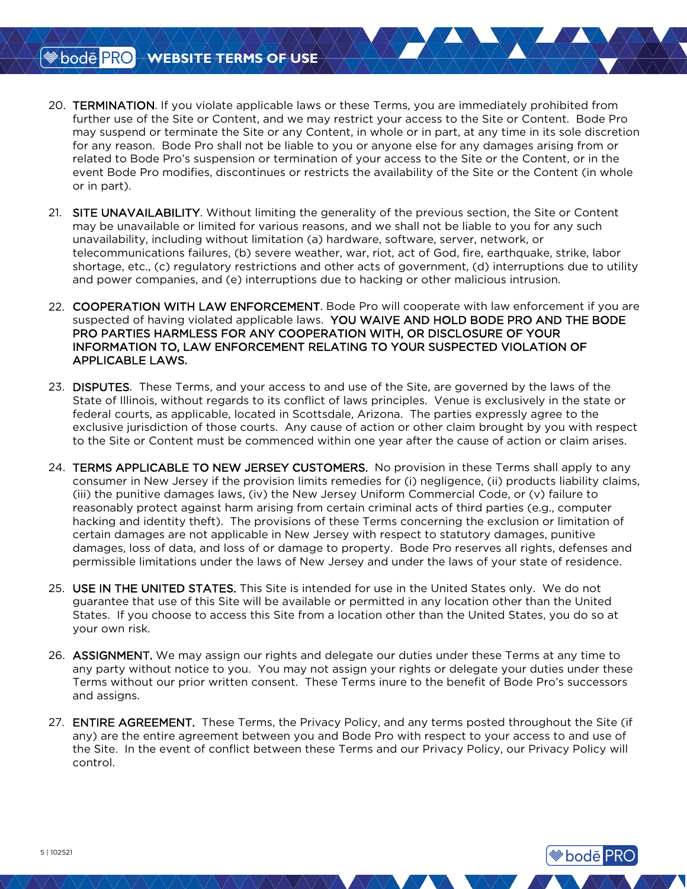- 20. TERMINATION. If you violate applicable laws or these Terms, you are immediately prohibited from further use of the Site or Content, and we may restrict your access to the Site or Content. Bode Pro may suspend or terminate the Site or any Content, in whole or in part, at any time in its sole discretion for any reason. Bode Pro shall not be liable to you or anyone else for any damages arising from or related to Bode Pro's suspension or termination of your access to the Site or the Content, or in the event Bode Pro modifies, discontinues or restricts the availability of the Site or the Content (in whole or in part).
- 21. SITE UNAVAILABILITY. Without limiting the generality of the previous section, the Site or Content may be unavailable or limited for various reasons, and we shall not be liable to you for any such unavailability, including without limitation (a) hardware, software, server, network, or telecommunications failures, (b) severe weather, war, riot, act of God, fire, earthquake, strike, labor shortage, etc., (c) regulatory restrictions and other acts of government, (d) interruptions due to utility and power companies, and (e) interruptions due to hacking or other malicious intrusion.
- 22. COOPERATION WITH LAW ENFORCEMENT. Bode Pro will cooperate with law enforcement if you are suspected of having violated applicable laws. YOU WAIVE AND HOLD BODE PRO AND THE BODE PRO PARTIES HARMLESS FOR ANY COOPERATION WITH, OR DISCLOSURE OF YOUR INFORMATION TO, LAW ENFORCEMENT RELATING TO YOUR SUSPECTED VIOLATION OF APPLICABLE LAWS.
- 23. DISPUTES. These Terms, and your access to and use of the Site, are governed by the laws of the State of Illinois, without regards to its conflict of laws principles. Venue is exclusively in the state or federal courts, as applicable, located in Scottsdale, Arizona. The parties expressly agree to the exclusive jurisdiction of those courts. Any cause of action or other claim brought by you with respect to the Site or Content must be commenced within one year after the cause of action or claim arises.
- 24. TERMS APPLICABLE TO NEW JERSEY CUSTOMERS. No provision in these Terms shall apply to any consumer in New Jersey if the provision limits remedies for (i) negligence, (ii) products liability claims, (iii) the punitive damages laws, (iv) the New Jersey Uniform Commercial Code, or (v) failure to reasonably protect against harm arising from certain criminal acts of third parties (e.g., computer hacking and identity theft). The provisions of these Terms concerning the exclusion or limitation of certain damages are not applicable in New Jersey with respect to statutory damages, punitive damages, loss of data, and loss of or damage to property. Bode Pro reserves all rights, defenses and permissible limitations under the laws of New Jersey and under the laws of your state of residence.
- 25. USE IN THE UNITED STATES. This Site is intended for use in the United States only. We do not guarantee that use of this Site will be available or permitted in any location other than the United States. If you choose to access this Site from a location other than the United States, you do so at your own risk.
- 26. ASSIGNMENT. We may assign our rights and delegate our duties under these Terms at any time to any party without notice to you. You may not assign your rights or delegate your duties under these Terms without our prior written consent. These Terms inure to the benefit of Bode Pro's successors and assigns.
- 27. **ENTIRE AGREEMENT.** These Terms, the Privacy Policy, and any terms posted throughout the Site (if any) are the entire agreement between you and Bode Pro with respect to your access to and use of the Site. In the event of conflict between these Terms and our Privacy Policy, our Privacy Policy will control.

**<sup>●</sup>bode PRO**